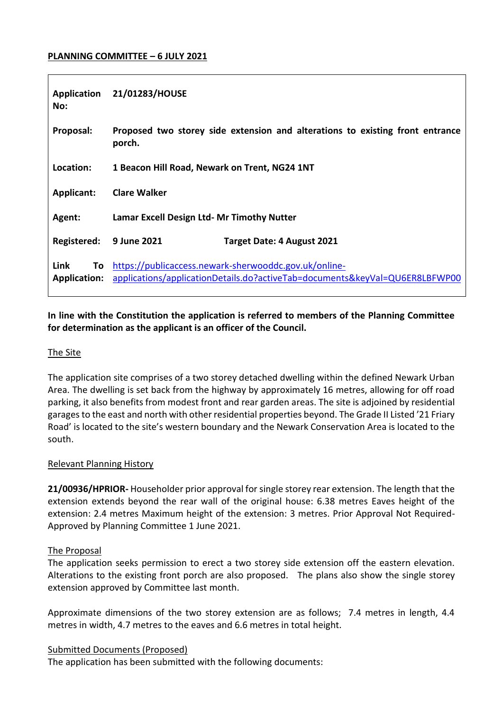## **PLANNING COMMITTEE – 6 JULY 2021**

| No:                                | Application 21/01283/HOUSE                                                                                                           |  |
|------------------------------------|--------------------------------------------------------------------------------------------------------------------------------------|--|
| Proposal:                          | Proposed two storey side extension and alterations to existing front entrance<br>porch.                                              |  |
| Location:                          | 1 Beacon Hill Road, Newark on Trent, NG24 1NT                                                                                        |  |
| <b>Applicant:</b>                  | <b>Clare Walker</b>                                                                                                                  |  |
| Agent:                             | Lamar Excell Design Ltd- Mr Timothy Nutter                                                                                           |  |
| Registered:                        | <b>9 June 2021</b><br><b>Target Date: 4 August 2021</b>                                                                              |  |
| Link<br>To.<br><b>Application:</b> | https://publicaccess.newark-sherwooddc.gov.uk/online-<br>applications/applicationDetails.do?activeTab=documents&keyVal=QU6ER8LBFWP00 |  |

# **In line with the Constitution the application is referred to members of the Planning Committee for determination as the applicant is an officer of the Council.**

## The Site

The application site comprises of a two storey detached dwelling within the defined Newark Urban Area. The dwelling is set back from the highway by approximately 16 metres, allowing for off road parking, it also benefits from modest front and rear garden areas. The site is adjoined by residential garages to the east and north with other residential properties beyond. The Grade II Listed '21 Friary Road' is located to the site's western boundary and the Newark Conservation Area is located to the south.

## Relevant Planning History

**21/00936/HPRIOR-** Householder prior approval for single storey rear extension. The length that the extension extends beyond the rear wall of the original house: 6.38 metres Eaves height of the extension: 2.4 metres Maximum height of the extension: 3 metres. Prior Approval Not Required-Approved by Planning Committee 1 June 2021.

#### The Proposal

The application seeks permission to erect a two storey side extension off the eastern elevation. Alterations to the existing front porch are also proposed. The plans also show the single storey extension approved by Committee last month.

Approximate dimensions of the two storey extension are as follows; 7.4 metres in length, 4.4 metres in width, 4.7 metres to the eaves and 6.6 metres in total height.

## Submitted Documents (Proposed)

The application has been submitted with the following documents: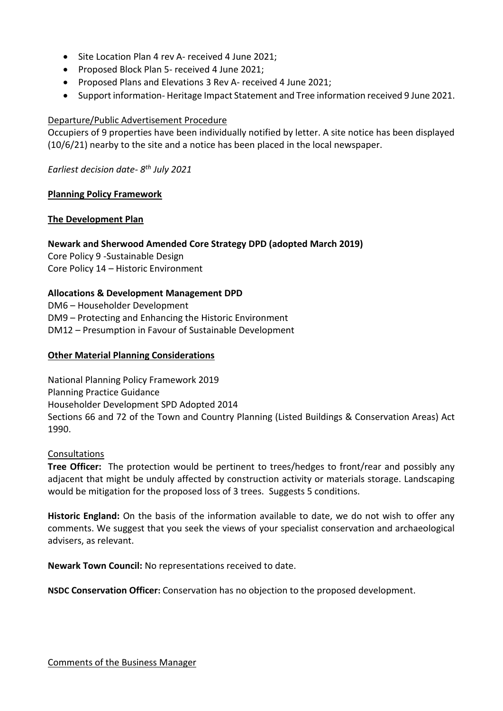- Site Location Plan 4 rev A- received 4 June 2021;
- Proposed Block Plan 5- received 4 June 2021;
- Proposed Plans and Elevations 3 Rev A- received 4 June 2021;
- Support information-Heritage Impact Statement and Tree information received 9 June 2021.

## Departure/Public Advertisement Procedure

Occupiers of 9 properties have been individually notified by letter. A site notice has been displayed (10/6/21) nearby to the site and a notice has been placed in the local newspaper.

*Earliest decision date- 8 th July 2021*

## **Planning Policy Framework**

## **The Development Plan**

## **Newark and Sherwood Amended Core Strategy DPD (adopted March 2019)**

Core Policy 9 -Sustainable Design Core Policy 14 – Historic Environment

# **Allocations & Development Management DPD**

DM6 – Householder Development DM9 – Protecting and Enhancing the Historic Environment DM12 – Presumption in Favour of Sustainable Development

## **Other Material Planning Considerations**

National Planning Policy Framework 2019 Planning Practice Guidance Householder Development SPD Adopted 2014 Sections 66 and 72 of the Town and Country Planning (Listed Buildings & Conservation Areas) Act 1990.

## **Consultations**

**Tree Officer:** The protection would be pertinent to trees/hedges to front/rear and possibly any adjacent that might be unduly affected by construction activity or materials storage. Landscaping would be mitigation for the proposed loss of 3 trees. Suggests 5 conditions.

**Historic England:** On the basis of the information available to date, we do not wish to offer any comments. We suggest that you seek the views of your specialist conservation and archaeological advisers, as relevant.

**Newark Town Council:** No representations received to date.

**NSDC Conservation Officer:** Conservation has no objection to the proposed development.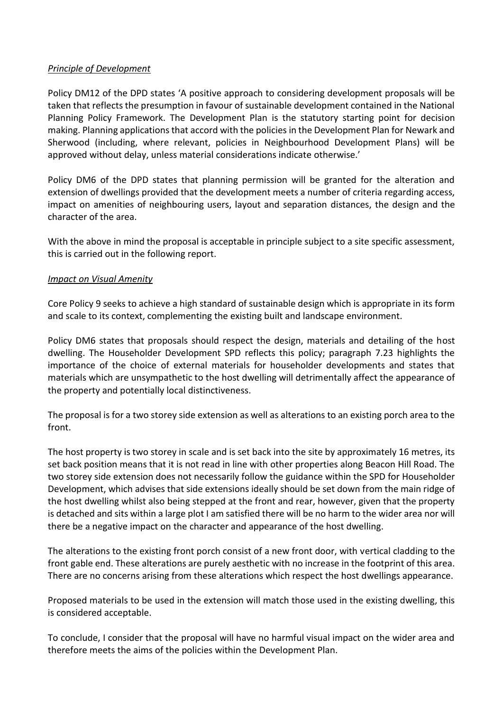## *Principle of Development*

Policy DM12 of the DPD states 'A positive approach to considering development proposals will be taken that reflects the presumption in favour of sustainable development contained in the National Planning Policy Framework. The Development Plan is the statutory starting point for decision making. Planning applications that accord with the policies in the Development Plan for Newark and Sherwood (including, where relevant, policies in Neighbourhood Development Plans) will be approved without delay, unless material considerations indicate otherwise.'

Policy DM6 of the DPD states that planning permission will be granted for the alteration and extension of dwellings provided that the development meets a number of criteria regarding access, impact on amenities of neighbouring users, layout and separation distances, the design and the character of the area.

With the above in mind the proposal is acceptable in principle subject to a site specific assessment, this is carried out in the following report.

## *Impact on Visual Amenity*

Core Policy 9 seeks to achieve a high standard of sustainable design which is appropriate in its form and scale to its context, complementing the existing built and landscape environment.

Policy DM6 states that proposals should respect the design, materials and detailing of the host dwelling. The Householder Development SPD reflects this policy; paragraph 7.23 highlights the importance of the choice of external materials for householder developments and states that materials which are unsympathetic to the host dwelling will detrimentally affect the appearance of the property and potentially local distinctiveness.

The proposal is for a two storey side extension as well as alterations to an existing porch area to the front.

The host property is two storey in scale and is set back into the site by approximately 16 metres, its set back position means that it is not read in line with other properties along Beacon Hill Road. The two storey side extension does not necessarily follow the guidance within the SPD for Householder Development, which advises that side extensions ideally should be set down from the main ridge of the host dwelling whilst also being stepped at the front and rear, however, given that the property is detached and sits within a large plot I am satisfied there will be no harm to the wider area nor will there be a negative impact on the character and appearance of the host dwelling.

The alterations to the existing front porch consist of a new front door, with vertical cladding to the front gable end. These alterations are purely aesthetic with no increase in the footprint of this area. There are no concerns arising from these alterations which respect the host dwellings appearance.

Proposed materials to be used in the extension will match those used in the existing dwelling, this is considered acceptable.

To conclude, I consider that the proposal will have no harmful visual impact on the wider area and therefore meets the aims of the policies within the Development Plan.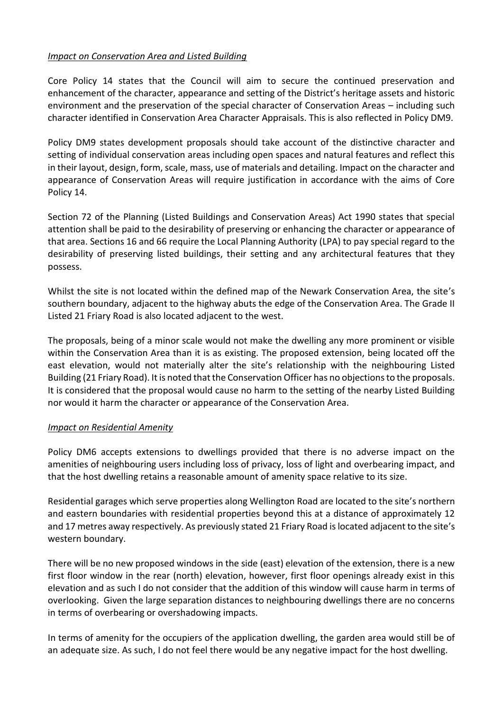# *Impact on Conservation Area and Listed Building*

Core Policy 14 states that the Council will aim to secure the continued preservation and enhancement of the character, appearance and setting of the District's heritage assets and historic environment and the preservation of the special character of Conservation Areas – including such character identified in Conservation Area Character Appraisals. This is also reflected in Policy DM9.

Policy DM9 states development proposals should take account of the distinctive character and setting of individual conservation areas including open spaces and natural features and reflect this in their layout, design, form, scale, mass, use of materials and detailing. Impact on the character and appearance of Conservation Areas will require justification in accordance with the aims of Core Policy 14.

Section 72 of the Planning (Listed Buildings and Conservation Areas) Act 1990 states that special attention shall be paid to the desirability of preserving or enhancing the character or appearance of that area. Sections 16 and 66 require the Local Planning Authority (LPA) to pay special regard to the desirability of preserving listed buildings, their setting and any architectural features that they possess.

Whilst the site is not located within the defined map of the Newark Conservation Area, the site's southern boundary, adjacent to the highway abuts the edge of the Conservation Area. The Grade II Listed 21 Friary Road is also located adjacent to the west.

The proposals, being of a minor scale would not make the dwelling any more prominent or visible within the Conservation Area than it is as existing. The proposed extension, being located off the east elevation, would not materially alter the site's relationship with the neighbouring Listed Building (21 Friary Road). It is noted that the Conservation Officer has no objections to the proposals. It is considered that the proposal would cause no harm to the setting of the nearby Listed Building nor would it harm the character or appearance of the Conservation Area.

## *Impact on Residential Amenity*

Policy DM6 accepts extensions to dwellings provided that there is no adverse impact on the amenities of neighbouring users including loss of privacy, loss of light and overbearing impact, and that the host dwelling retains a reasonable amount of amenity space relative to its size.

Residential garages which serve properties along Wellington Road are located to the site's northern and eastern boundaries with residential properties beyond this at a distance of approximately 12 and 17 metres away respectively. As previously stated 21 Friary Road is located adjacent to the site's western boundary.

There will be no new proposed windows in the side (east) elevation of the extension, there is a new first floor window in the rear (north) elevation, however, first floor openings already exist in this elevation and as such I do not consider that the addition of this window will cause harm in terms of overlooking. Given the large separation distances to neighbouring dwellings there are no concerns in terms of overbearing or overshadowing impacts.

In terms of amenity for the occupiers of the application dwelling, the garden area would still be of an adequate size. As such, I do not feel there would be any negative impact for the host dwelling.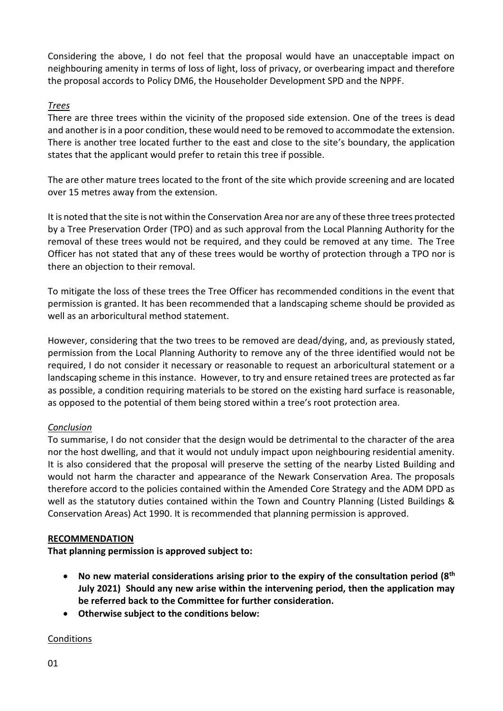Considering the above, I do not feel that the proposal would have an unacceptable impact on neighbouring amenity in terms of loss of light, loss of privacy, or overbearing impact and therefore the proposal accords to Policy DM6, the Householder Development SPD and the NPPF.

## *Trees*

There are three trees within the vicinity of the proposed side extension. One of the trees is dead and another is in a poor condition, these would need to be removed to accommodate the extension. There is another tree located further to the east and close to the site's boundary, the application states that the applicant would prefer to retain this tree if possible.

The are other mature trees located to the front of the site which provide screening and are located over 15 metres away from the extension.

It is noted that the site is not within the Conservation Area nor are any of these three trees protected by a Tree Preservation Order (TPO) and as such approval from the Local Planning Authority for the removal of these trees would not be required, and they could be removed at any time. The Tree Officer has not stated that any of these trees would be worthy of protection through a TPO nor is there an objection to their removal.

To mitigate the loss of these trees the Tree Officer has recommended conditions in the event that permission is granted. It has been recommended that a landscaping scheme should be provided as well as an arboricultural method statement.

However, considering that the two trees to be removed are dead/dying, and, as previously stated, permission from the Local Planning Authority to remove any of the three identified would not be required, I do not consider it necessary or reasonable to request an arboricultural statement or a landscaping scheme in this instance. However, to try and ensure retained trees are protected as far as possible, a condition requiring materials to be stored on the existing hard surface is reasonable, as opposed to the potential of them being stored within a tree's root protection area.

# *Conclusion*

To summarise, I do not consider that the design would be detrimental to the character of the area nor the host dwelling, and that it would not unduly impact upon neighbouring residential amenity. It is also considered that the proposal will preserve the setting of the nearby Listed Building and would not harm the character and appearance of the Newark Conservation Area. The proposals therefore accord to the policies contained within the Amended Core Strategy and the ADM DPD as well as the statutory duties contained within the Town and Country Planning (Listed Buildings & Conservation Areas) Act 1990. It is recommended that planning permission is approved.

## **RECOMMENDATION**

**That planning permission is approved subject to:**

- **No new material considerations arising prior to the expiry of the consultation period (8th July 2021) Should any new arise within the intervening period, then the application may be referred back to the Committee for further consideration.**
- **Otherwise subject to the conditions below:**

## Conditions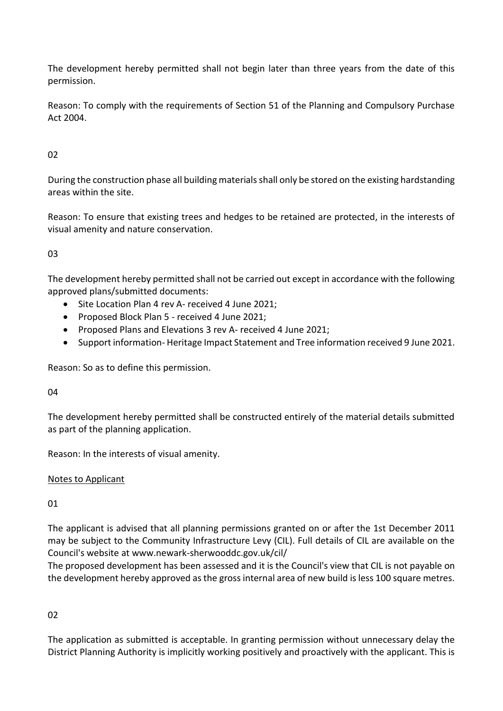The development hereby permitted shall not begin later than three years from the date of this permission.

Reason: To comply with the requirements of Section 51 of the Planning and Compulsory Purchase Act 2004.

# $02$

During the construction phase all building materials shall only be stored on the existing hardstanding areas within the site.

Reason: To ensure that existing trees and hedges to be retained are protected, in the interests of visual amenity and nature conservation.

# 03

The development hereby permitted shall not be carried out except in accordance with the following approved plans/submitted documents:

- Site Location Plan 4 rev A- received 4 June 2021;
- Proposed Block Plan 5 received 4 June 2021;
- Proposed Plans and Elevations 3 rev A- received 4 June 2021;
- Support information- Heritage Impact Statement and Tree information received 9 June 2021.

Reason: So as to define this permission.

04

The development hereby permitted shall be constructed entirely of the material details submitted as part of the planning application.

Reason: In the interests of visual amenity.

# Notes to Applicant

# 01

The applicant is advised that all planning permissions granted on or after the 1st December 2011 may be subject to the Community Infrastructure Levy (CIL). Full details of CIL are available on the Council's website at www.newark-sherwooddc.gov.uk/cil/

The proposed development has been assessed and it is the Council's view that CIL is not payable on the development hereby approved as the gross internal area of new build is less 100 square metres.

# 02

The application as submitted is acceptable. In granting permission without unnecessary delay the District Planning Authority is implicitly working positively and proactively with the applicant. This is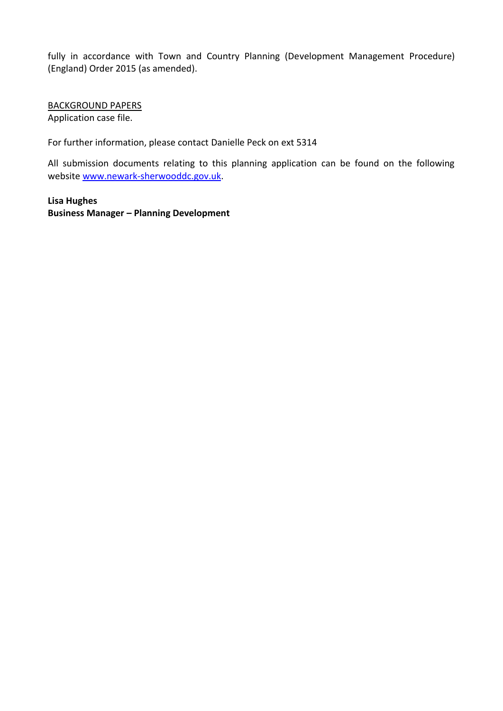fully in accordance with Town and Country Planning (Development Management Procedure) (England) Order 2015 (as amended).

BACKGROUND PAPERS Application case file.

For further information, please contact Danielle Peck on ext 5314

All submission documents relating to this planning application can be found on the following websit[e www.newark-sherwooddc.gov.uk.](http://www.newark-sherwooddc.gov.uk/)

**Lisa Hughes Business Manager – Planning Development**